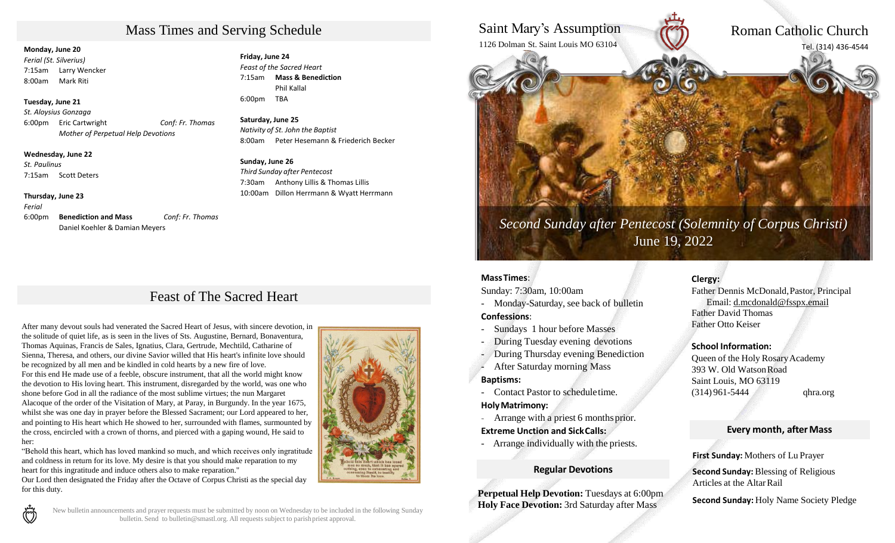# Mass Times and Serving Schedule

#### **Monday, June 20**

*Ferial (St. Silverius)*  7:15am Larry Wencker 8:00am Mark Riti

#### **Tuesday, June 21**

*St. Aloysius Gonzaga* 6:00pm Eric Cartwright *Conf: Fr. Thomas Mother of Perpetual Help Devotions*

**Wednesday, June 22**

*St. Paulinus* 7:15am Scott Deters

#### **Thursday, June 23**

*Ferial*  6:00pm **Benediction and Mass** *Conf: Fr. Thomas*  Daniel Koehler & Damian Meyers

**Friday, June 24** *Feast of the Sacred Heart* 7:15am **Mass & Benediction** Phil Kallal 6:00pm TBA

**Saturday, June 25** *Nativity of St. John the Baptist* 8:00am Peter Hesemann & Friederich Becker

#### **Sunday, June 26** *Third Sunday after Pentecost* 7:30am Anthony Lillis & Thomas Lillis 10:00am Dillon Herrmann & Wyatt Herrmann

# Feast of The Sacred Heart

After many devout souls had venerated the Sacred Heart of Jesus, with sincere devotion, in the solitude of quiet life, as is seen in the lives of Sts. Augustine, Bernard, Bonaventura, Thomas Aquinas, Francis de Sales, Ignatius, Clara, Gertrude, Mechtild, Catharine of Sienna, Theresa, and others, our divine Savior willed that His heart's infinite love should be recognized by all men and be kindled in cold hearts by a new fire of love. For this end He made use of a feeble, obscure instrument, that all the world might know the devotion to His loving heart. This instrument, disregarded by the world, was one who shone before God in all the radiance of the most sublime virtues; the nun Margaret Alacoque of the order of the Visitation of Mary, at Paray, in Burgundy. In the year 1675, whilst she was one day in prayer before the Blessed Sacrament; our Lord appeared to her, and pointing to His heart which He showed to her, surrounded with flames, surmounted by the cross, encircled with a crown of thorns, and pierced with a gaping wound, He said to her:

"Behold this heart, which has loved mankind so much, and which receives only ingratitude and coldness in return for its love. My desire is that you should make reparation to my heart for this ingratitude and induce others also to make reparation."

Our Lord then designated the Friday after the Octave of Corpus Christi as the special day for this duty.



Saint Mary's Assumption 1126 Dolman St. Saint Louis MO 63104

# Roman Catholic Church Tel. (314) 436-4544

*Second Sunday after Pentecost Second Sunday after Pentecost (Solemnity of Corpus Christi)* June 19, 2022

#### **MassTimes**:

Sunday: 7:30am, 10:00am

- Monday-Saturday, see back of bulletin

#### **Confessions**:

- Sundays 1 hour before Masses
- During Tuesday evening devotions
- During Thursday evening Benediction
- After Saturday morning Mass

#### **Baptisms:**

- Contact Pastor to scheduletime.

#### **HolyMatrimony:**

- Arrange with a priest 6 months prior.

**Extreme Unction and SickCalls:**

- Arrange individually with the priests.

#### **Regular Devotions**

**Perpetual Help Devotion:** Tuesdays at 6:00pm **Holy Face Devotion:** 3rd Saturday after Mass

#### **Clergy:**

Father Dennis McDonald,Pastor, Principal Email: d.mcdonald@fsspx.email Father David Thomas Father Otto Keiser

#### **School Information:**

Queen of the Holy RosaryAcademy 393 W. Old WatsonRoad Saint Louis, MO 63119 (314) 961-5444 qhra.org

#### **Every month, after Mass**

**First Sunday:** Mothers of Lu Prayer

**Second Sunday: Blessing of Religious** Articles at the Altar Rail

**Second Sunday:** Holy Name Society Pledge



New bulletin announcements and prayer requests must be submitted by noon on Wednesday to be included in the following Sunday bulletin. Send to bulletin@smastl.org. All requests subject to parishpriest approval.